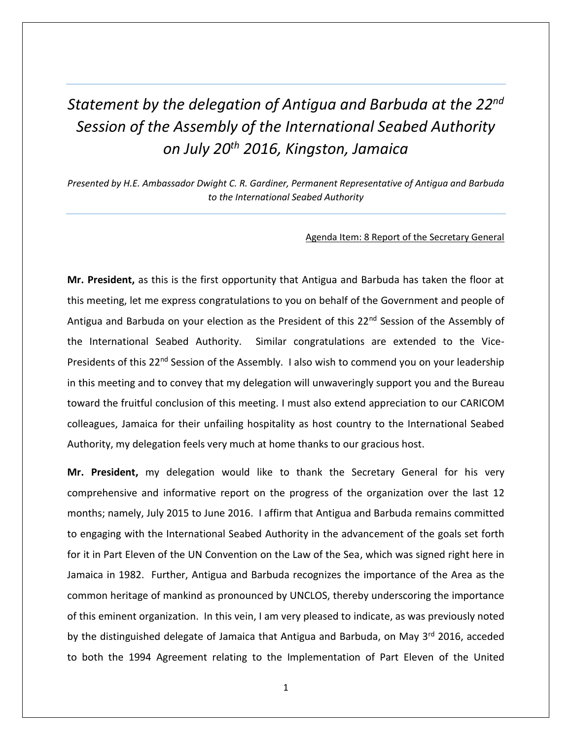## *Statement by the delegation of Antigua and Barbuda at the 22nd Session of the Assembly of the International Seabed Authority on July 20th 2016, Kingston, Jamaica*

*Presented by H.E. Ambassador Dwight C. R. Gardiner, Permanent Representative of Antigua and Barbuda to the International Seabed Authority*

## Agenda Item: 8 Report of the Secretary General

**Mr. President,** as this is the first opportunity that Antigua and Barbuda has taken the floor at this meeting, let me express congratulations to you on behalf of the Government and people of Antigua and Barbuda on your election as the President of this 22<sup>nd</sup> Session of the Assembly of the International Seabed Authority. Similar congratulations are extended to the Vice-Presidents of this 22<sup>nd</sup> Session of the Assembly. I also wish to commend you on your leadership in this meeting and to convey that my delegation will unwaveringly support you and the Bureau toward the fruitful conclusion of this meeting. I must also extend appreciation to our CARICOM colleagues, Jamaica for their unfailing hospitality as host country to the International Seabed Authority, my delegation feels very much at home thanks to our gracious host.

**Mr. President,** my delegation would like to thank the Secretary General for his very comprehensive and informative report on the progress of the organization over the last 12 months; namely, July 2015 to June 2016. I affirm that Antigua and Barbuda remains committed to engaging with the International Seabed Authority in the advancement of the goals set forth for it in Part Eleven of the UN Convention on the Law of the Sea, which was signed right here in Jamaica in 1982. Further, Antigua and Barbuda recognizes the importance of the Area as the common heritage of mankind as pronounced by UNCLOS, thereby underscoring the importance of this eminent organization. In this vein, I am very pleased to indicate, as was previously noted by the distinguished delegate of Jamaica that Antigua and Barbuda, on May 3rd 2016, acceded to both the 1994 Agreement relating to the Implementation of Part Eleven of the United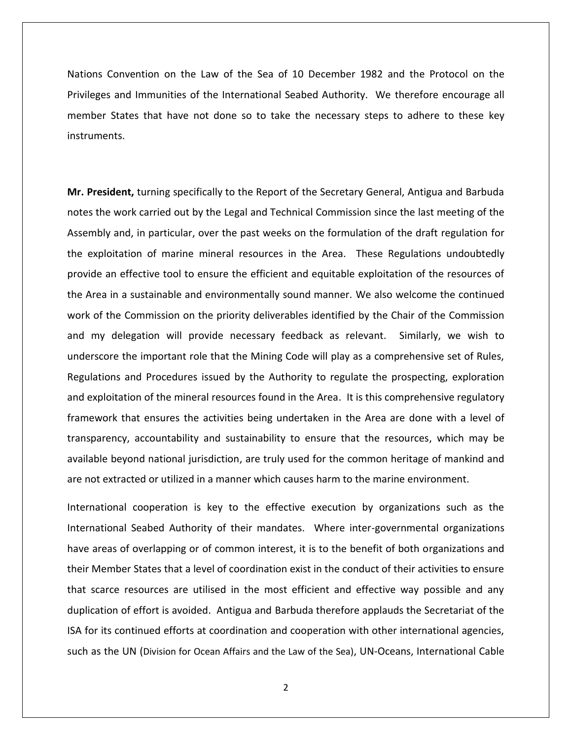Nations Convention on the Law of the Sea of 10 December 1982 and the Protocol on the Privileges and Immunities of the International Seabed Authority. We therefore encourage all member States that have not done so to take the necessary steps to adhere to these key instruments.

**Mr. President,** turning specifically to the Report of the Secretary General, Antigua and Barbuda notes the work carried out by the Legal and Technical Commission since the last meeting of the Assembly and, in particular, over the past weeks on the formulation of the draft regulation for the exploitation of marine mineral resources in the Area. These Regulations undoubtedly provide an effective tool to ensure the efficient and equitable exploitation of the resources of the Area in a sustainable and environmentally sound manner. We also welcome the continued work of the Commission on the priority deliverables identified by the Chair of the Commission and my delegation will provide necessary feedback as relevant. Similarly, we wish to underscore the important role that the Mining Code will play as a comprehensive set of Rules, Regulations and Procedures issued by the Authority to regulate the prospecting, exploration and exploitation of the mineral resources found in the Area. It is this comprehensive regulatory framework that ensures the activities being undertaken in the Area are done with a level of transparency, accountability and sustainability to ensure that the resources, which may be available beyond national jurisdiction, are truly used for the common heritage of mankind and are not extracted or utilized in a manner which causes harm to the marine environment.

International cooperation is key to the effective execution by organizations such as the International Seabed Authority of their mandates. Where inter-governmental organizations have areas of overlapping or of common interest, it is to the benefit of both organizations and their Member States that a level of coordination exist in the conduct of their activities to ensure that scarce resources are utilised in the most efficient and effective way possible and any duplication of effort is avoided. Antigua and Barbuda therefore applauds the Secretariat of the ISA for its continued efforts at coordination and cooperation with other international agencies, such as the UN (Division for Ocean Affairs and the Law of the Sea), UN-Oceans, International Cable

2